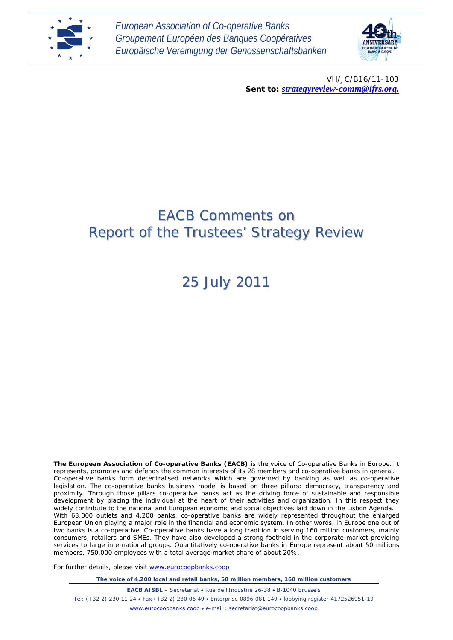

*European Association of Co-operative Banks Groupement Européen des Banques Coopératives Europäische Vereinigung der Genossenschaftsbanken*



VH/JC/B16/11-103 *Sent to: strategyreview-comm@ifrs.org.*

# EACB Comments on Report of the Trustees' Strategy Review

25 July 2011

**The European Association of Co-operative Banks (EACB)** is the voice of Co-operative Banks in Europe. It represents, promotes and defends the common interests of its 28 members and co-operative banks in general. Co-operative banks form decentralised networks which are governed by banking as well as co-operative legislation. The co-operative banks business model is based on three pillars: democracy, transparency and proximity. Through those pillars co-operative banks act as the driving force of sustainable and responsible development by placing the individual at the heart of their activities and organization. In this respect they widely contribute to the national and European economic and social objectives laid down in the Lisbon Agenda. With 63.000 outlets and 4.200 banks, co-operative banks are widely represented throughout the enlarged European Union playing a major role in the financial and economic system. In other words, in Europe one out of two banks is a co-operative. Co-operative banks have a long tradition in serving 160 million customers, mainly consumers, retailers and SMEs. They have also developed a strong foothold in the corporate market providing services to large international groups. Quantitatively co-operative banks in Europe represent about 50 millions members, 750,000 employees with a total average market share of about 20%.

For further details, please visit [www.eurocoopbanks.coop](http://www.eurocoopbanks.coop/)

*The voice of 4.200 local and retail banks, 50 million members, 160 million customers*

**EACB AISBL** – Secretariat • Rue de l'Industrie 26-38 • B-1040 Brussels Tel: (+32 2) 230 11 24 • Fax (+32 2) 230 06 49 • Enterprise 0896.081.149 • lobbying register 4172526951-19 [www.eurocoopbanks.coop](http://www.eurocoopbanks.coop/) • e-mail : secretariat@eurocoopbanks.coop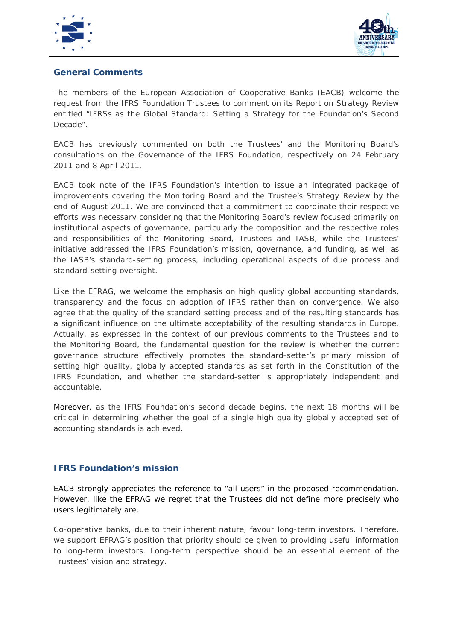



# **General Comments**

The members of the European Association of Cooperative Banks (EACB) welcome the request from the IFRS Foundation Trustees to comment on its Report on Strategy Review entitled "*IFRSs as the Global Standard: Setting a Strategy for the Foundation's Second*  Decade".

EACB has previously commented on both the Trustees' and the Monitoring Board's consultations on the Governance of the IFRS Foundation, respectively on 24 February 2011 and 8 April 2011.

EACB took note of the IFRS Foundation's intention to issue an integrated package of improvements covering the Monitoring Board and the Trustee's Strategy Review by the end of August 2011. We are convinced that a commitment to coordinate their respective efforts was necessary considering that the Monitoring Board's review focused primarily on institutional aspects of governance, particularly the composition and the respective roles and responsibilities of the Monitoring Board, Trustees and IASB, while the Trustees' initiative addressed the IFRS Foundation's mission, governance, and funding, as well as the IASB's standard-setting process, including operational aspects of due process and standard-setting oversight.

Like the EFRAG, we welcome the emphasis on high quality global accounting standards, transparency and the focus on adoption of IFRS rather than on convergence. We also agree that the quality of the standard setting process and of the resulting standards has a significant influence on the ultimate acceptability of the resulting standards in Europe. Actually, as expressed in the context of our previous comments to the Trustees and to the Monitoring Board, the fundamental question for the review is whether the current governance structure effectively promotes the standard-setter's primary mission of setting high quality, globally accepted standards as set forth in the Constitution of the IFRS Foundation, and whether the standard-setter is appropriately independent and accountable.

Moreover, as the IFRS Foundation's second decade begins, the next 18 months will be critical in determining whether the goal of a single high quality globally accepted set of accounting standards is achieved.

# **IFRS Foundation's mission**

EACB strongly appreciates the reference to "all users" in the proposed recommendation. However, like the EFRAG we regret that the Trustees did not define more precisely who users legitimately are.

Co-operative banks, due to their inherent nature, favour long-term investors. Therefore, we support EFRAG's position that priority should be given to providing useful information to long-term investors. Long-term perspective should be an essential element of the Trustees' vision and strategy.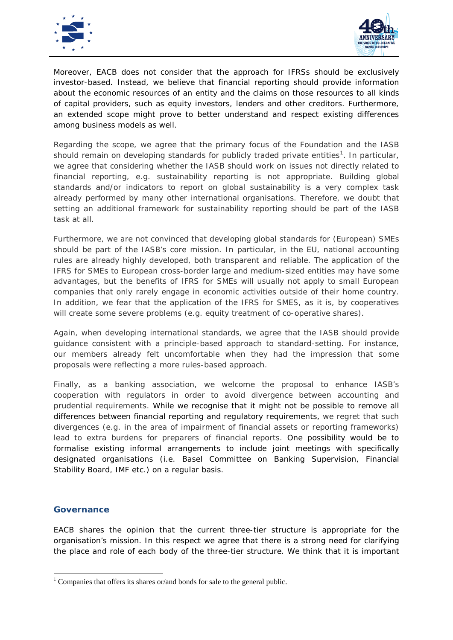



Moreover, EACB does not consider that the approach for IFRSs should be exclusively investor-based. Instead, we believe that financial reporting should provide information about the economic resources of an entity and the claims on those resources to all kinds of capital providers, such as equity investors, lenders and other creditors. Furthermore, an extended scope might prove to better understand and respect existing differences among business models as well.

Regarding the scope, we agree that the primary focus of the Foundation and the IASB should remain on developing standards for publicly traded private entities<sup>[1](#page-2-0)</sup>. In particular, we agree that considering whether the IASB should work on issues not directly related to financial reporting, e.g. sustainability reporting is not appropriate. Building global standards and/or indicators to report on global sustainability is a very complex task already performed by many other international organisations. Therefore, we doubt that setting an additional framework for sustainability reporting should be part of the IASB task at all.

Furthermore, we are not convinced that developing global standards for (European) SMEs should be part of the IASB's core mission. In particular, in the EU, national accounting rules are already highly developed, both transparent and reliable. The application of the IFRS for SMEs to European cross-border large and medium-sized entities may have some advantages, but the benefits of IFRS for SMEs will usually not apply to small European companies that only rarely engage in economic activities outside of their home country. In addition, we fear that the application of the IFRS for SMES, as it is, by cooperatives will create some severe problems (e.g. equity treatment of co-operative shares).

Again, when developing international standards, we agree that the IASB should provide guidance consistent with a principle-based approach to standard-setting. For instance, our members already felt uncomfortable when they had the impression that some proposals were reflecting a more rules-based approach.

Finally, as a banking association, we welcome the proposal to enhance IASB's cooperation with regulators in order to avoid divergence between accounting and prudential requirements. While we recognise that it might not be possible to remove all differences between financial reporting and regulatory requirements, we regret that such divergences (e.g. in the area of impairment of financial assets or reporting frameworks) lead to extra burdens for preparers of financial reports. One possibility would be to formalise existing informal arrangements to include joint meetings with specifically designated organisations (i.e. Basel Committee on Banking Supervision, Financial Stability Board, IMF etc.) on a regular basis.

### **Governance**

EACB shares the opinion that the current three-tier structure is appropriate for the organisation's mission. In this respect we agree that there is a strong need for clarifying the place and role of each body of the three-tier structure. We think that it is important

<span id="page-2-0"></span><sup>&</sup>lt;sup>1</sup> Companies that offers its shares or/and bonds for sale to the general public.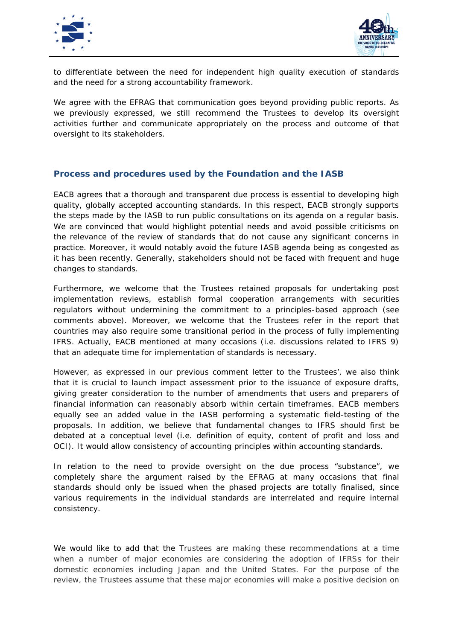



to differentiate between the need for independent high quality execution of standards and the need for a strong accountability framework.

We agree with the EFRAG that communication goes beyond providing public reports. As we previously expressed, we still recommend the Trustees to develop its oversight activities further and communicate appropriately on the process and outcome of that oversight to its stakeholders.

### **Process and procedures used by the Foundation and the IASB**

EACB agrees that a thorough and transparent due process is essential to developing high quality, globally accepted accounting standards. In this respect, EACB strongly supports the steps made by the IASB to run public consultations on its agenda on a regular basis. We are convinced that would highlight potential needs and avoid possible criticisms on the relevance of the review of standards that do not cause any significant concerns in practice. Moreover, it would notably avoid the future IASB agenda being as congested as it has been recently. Generally, stakeholders should not be faced with frequent and huge changes to standards.

Furthermore, we welcome that the Trustees retained proposals for undertaking post implementation reviews, establish formal cooperation arrangements with securities regulators without undermining the commitment to a principles-based approach (see comments above). Moreover, we welcome that the Trustees refer in the report that countries may also require some transitional period in the process of fully implementing IFRS. Actually, EACB mentioned at many occasions (i.e. discussions related to IFRS 9) that an adequate time for implementation of standards is necessary.

However, as expressed in our previous comment letter to the Trustees', we also think that it is crucial to launch impact assessment prior to the issuance of exposure drafts, giving greater consideration to the number of amendments that users and preparers of financial information can reasonably absorb within certain timeframes. EACB members equally see an added value in the IASB performing a systematic field-testing of the proposals. In addition, we believe that fundamental changes to IFRS should first be debated at a conceptual level (i.e. definition of equity, content of profit and loss and OCI). It would allow consistency of accounting principles within accounting standards.

In relation to the need to provide oversight on the due process "substance", we completely share the argument raised by the EFRAG at many occasions that final standards should only be issued when the phased projects are totally finalised, since various requirements in the individual standards are interrelated and require internal consistency.

We would like to add that the Trustees are making these recommendations at a time when a number of major economies are considering the adoption of IFRSs for their domestic economies including Japan and the United States. For the purpose of the review, the Trustees assume that these major economies will make a positive decision on